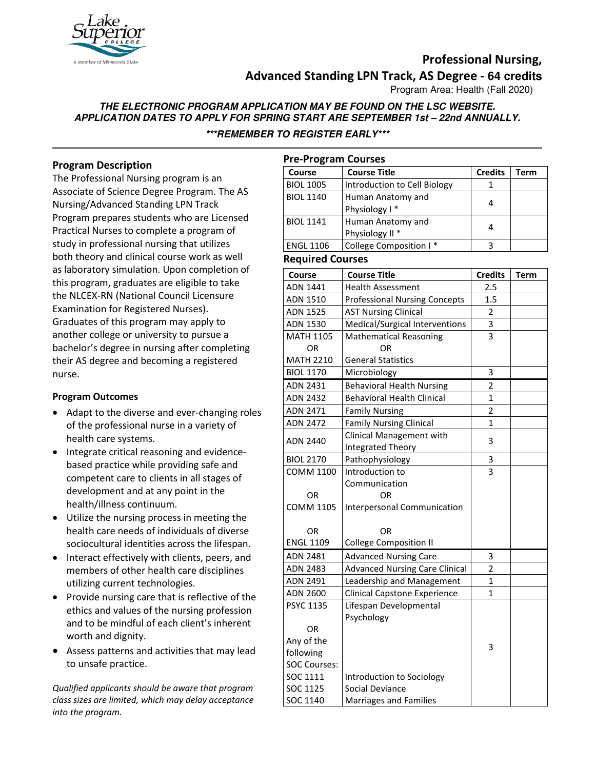

## **Professional Nursing, Advanced Standing LPN Track, AS Degree - 64 credits**

Program Area: Health (Fall 2020)

# **THE ELECTRONIC PROGRAM APPLICATION MAY BE FOUND ON THE LSC WEBSITE. APPLICATION DATES TO APPLY FOR SPRING START ARE SEPTEMBER 1st – 22nd ANNUALLY.**

**\*\*\*REMEMBER TO REGISTER EARLY\*\*\***

### **Program Description**

The Professional Nursing program is an Associate of Science Degree Program. The AS Nursing/Advanced Standing LPN Track Program prepares students who are Licensed Practical Nurses to complete a program of study in professional nursing that utilizes both theory and clinical course work as well as laboratory simulation. Upon completion of this program, graduates are eligible to take the NLCEX-RN (National Council Licensure Examination for Registered Nurses). Graduates of this program may apply to another college or university to pursue a bachelor's degree in nursing after completing their AS degree and becoming a registered nurse.

### **Program Outcomes**

- Adapt to the diverse and ever-changing roles of the professional nurse in a variety of health care systems.
- Integrate critical reasoning and evidencebased practice while providing safe and competent care to clients in all stages of development and at any point in the health/illness continuum.
- Utilize the nursing process in meeting the health care needs of individuals of diverse sociocultural identities across the lifespan.
- Interact effectively with clients, peers, and members of other health care disciplines utilizing current technologies.
- Provide nursing care that is reflective of the ethics and values of the nursing profession and to be mindful of each client's inherent worth and dignity.
- Assess patterns and activities that may lead to unsafe practice.

*Qualified applicants should be aware that program class sizes are limited, which may delay acceptance into the program.*

| <b>Pre-Program Courses</b> |                                       |                |             |  |
|----------------------------|---------------------------------------|----------------|-------------|--|
| Course                     | Course Title                          | <b>Credits</b> | Term        |  |
| <b>BIOL 1005</b>           | Introduction to Cell Biology          | 1              |             |  |
| <b>BIOL 1140</b>           | Human Anatomy and                     | 4              |             |  |
|                            | Physiology I*                         |                |             |  |
| <b>BIOL 1141</b>           | Human Anatomy and                     | 4              |             |  |
|                            | Physiology II <sup>*</sup>            |                |             |  |
| <b>ENGL 1106</b>           | College Composition I*                | 3              |             |  |
| <b>Required Courses</b>    |                                       |                |             |  |
| <b>Course</b>              | <b>Course Title</b>                   | <b>Credits</b> | <b>Term</b> |  |
| ADN 1441                   | <b>Health Assessment</b>              | 2.5            |             |  |
| ADN 1510                   | <b>Professional Nursing Concepts</b>  | 1.5            |             |  |
| <b>ADN 1525</b>            | <b>AST Nursing Clinical</b>           | 2              |             |  |
| <b>ADN 1530</b>            | Medical/Surgical Interventions        | 3              |             |  |
| <b>MATH 1105</b>           | <b>Mathematical Reasoning</b>         | 3              |             |  |
| OR                         | <b>OR</b>                             |                |             |  |
| <b>MATH 2210</b>           | <b>General Statistics</b>             |                |             |  |
| <b>BIOL 1170</b>           | Microbiology                          | 3              |             |  |
| ADN 2431                   | <b>Behavioral Health Nursing</b>      | $\overline{2}$ |             |  |
| <b>ADN 2432</b>            | <b>Behavioral Health Clinical</b>     | $\mathbf{1}$   |             |  |
| ADN 2471                   | <b>Family Nursing</b>                 | $\overline{2}$ |             |  |
| <b>ADN 2472</b>            | <b>Family Nursing Clinical</b>        | 1              |             |  |
|                            | Clinical Management with              |                |             |  |
| <b>ADN 2440</b>            | Integrated Theory                     | 3              |             |  |
| <b>BIOL 2170</b>           | Pathophysiology                       | 3              |             |  |
| <b>COMM 1100</b>           | Introduction to                       | 3              |             |  |
|                            | Communication                         |                |             |  |
| <b>OR</b>                  | OR                                    |                |             |  |
| <b>COMM 1105</b>           | Interpersonal Communication           |                |             |  |
|                            |                                       |                |             |  |
| <b>OR</b>                  | OR                                    |                |             |  |
| <b>ENGL 1109</b>           | <b>College Composition II</b>         |                |             |  |
| ADN 2481                   | <b>Advanced Nursing Care</b>          | 3              |             |  |
| <b>ADN 2483</b>            | <b>Advanced Nursing Care Clinical</b> | $\overline{2}$ |             |  |
| ADN 2491                   | Leadership and Management             | 1              |             |  |
| ADN 2600                   | <b>Clinical Capstone Experience</b>   | 1              |             |  |
| <b>PSYC 1135</b>           | Lifespan Developmental                |                |             |  |
|                            | Psychology                            |                |             |  |
| OR                         |                                       |                |             |  |
| Any of the                 |                                       | 3              |             |  |
| following                  |                                       |                |             |  |
| <b>SOC Courses:</b>        |                                       |                |             |  |
| SOC 1111                   | Introduction to Sociology             |                |             |  |
| SOC 1125                   | Social Deviance                       |                |             |  |
| SOC 1140                   | Marriages and Families                |                |             |  |